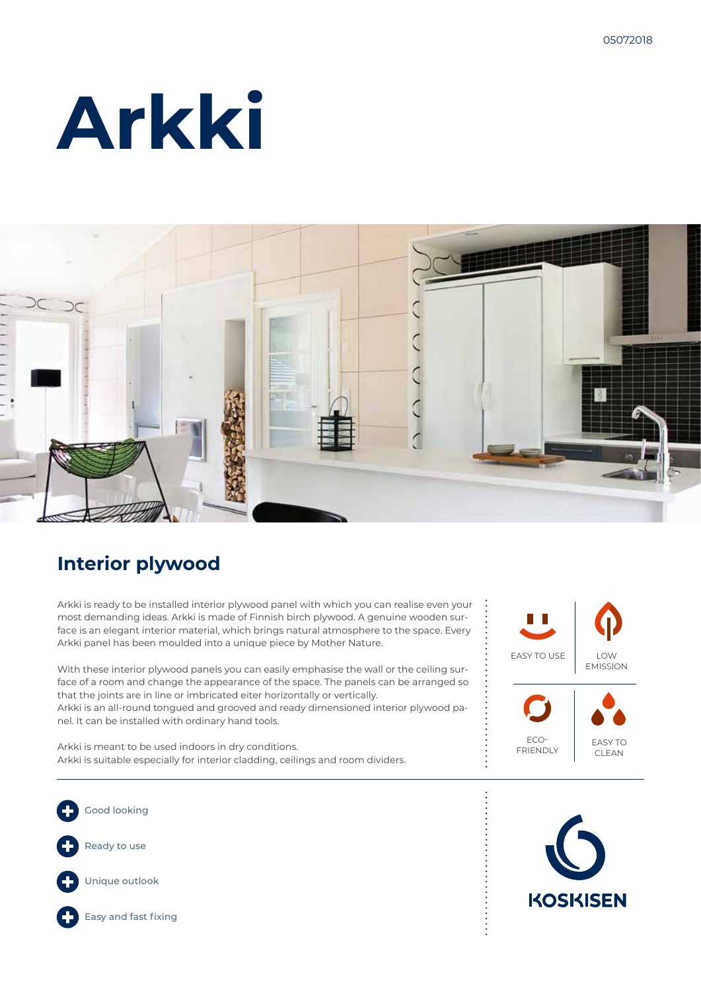# **Arkki**



### **Interior plywood**

Arkki is ready to be installed interior plywood panel with which you can realise even your most demanding ideas. Arkki is made of Finnish birch plywood. A genuine wooden surface is an elegant interior material, which brings natural atmosphere to the space. Every Arkki panel has been moulded into a unique piece by Mother Nature.

With these interior plywood panels you can easily emphasise the wall or the ceiling surface of a room and change the appearance of the space. The panels can be arranged so that the joints are in line or imbricated eiter horizontally or vertically.

Arkki is an all-round tongued and grooved and ready dimensioned interior plywood panel. It can be installed with ordinary hand tools.

Arkki is meant to be used indoors in dry conditions. Arkki is suitable especially for interior cladding, ceilings and room dividers.



ECO-FRIENDLY



Good looking Ready to use Unique outlook